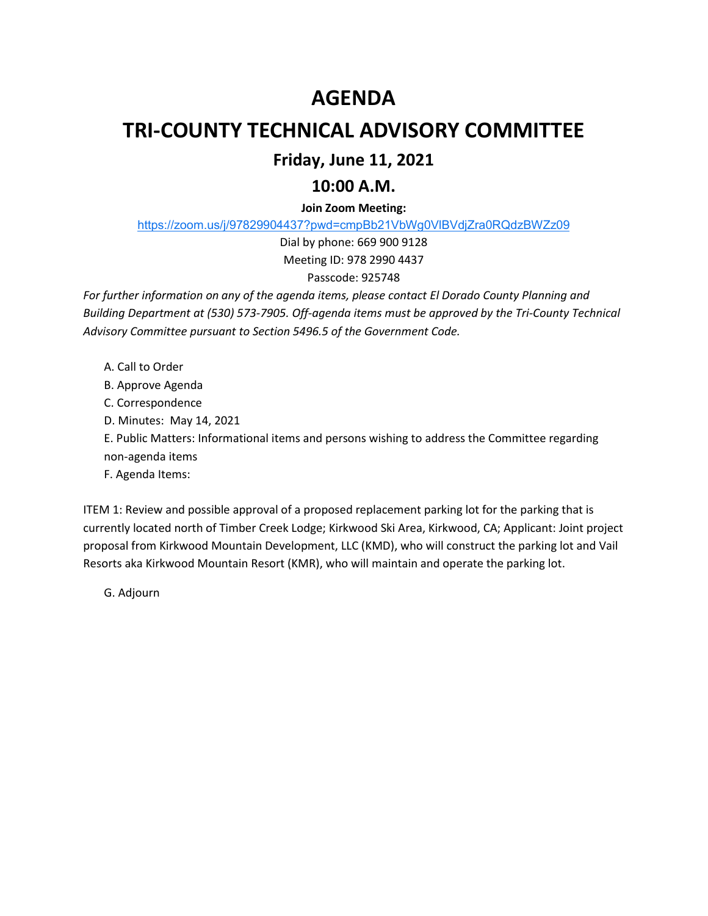# **AGENDA**

# **TRI-COUNTY TECHNICAL ADVISORY COMMITTEE**

## **Friday, June 11, 2021**

## **10:00 A.M.**

### **Join Zoom Meeting:**

https://zoom.us/j/97829904437?pwd=cmpBb21VbWg0VlBVdjZra0RQdzBWZz09

Dial by phone: 669 900 9128 Meeting ID: 978 2990 4437

### Passcode: 925748

*For further information on any of the agenda items, please contact El Dorado County Planning and Building Department at (530) 573-7905. Off-agenda items must be approved by the Tri-County Technical Advisory Committee pursuant to Section 5496.5 of the Government Code.* 

- A. Call to Order
- B. Approve Agenda

C. Correspondence

- D. Minutes: May 14, 2021
- E. Public Matters: Informational items and persons wishing to address the Committee regarding

non-agenda items

F. Agenda Items:

ITEM 1: Review and possible approval of a proposed replacement parking lot for the parking that is currently located north of Timber Creek Lodge; Kirkwood Ski Area, Kirkwood, CA; Applicant: Joint project proposal from Kirkwood Mountain Development, LLC (KMD), who will construct the parking lot and Vail Resorts aka Kirkwood Mountain Resort (KMR), who will maintain and operate the parking lot.

G. Adjourn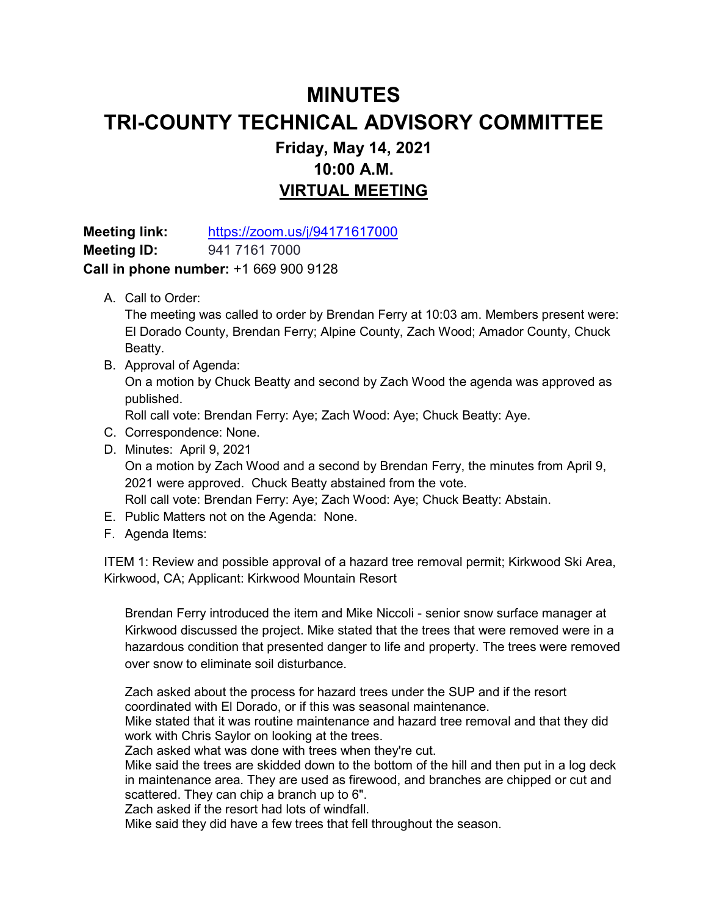## **MINUTES TRI-COUNTY TECHNICAL ADVISORY COMMITTEE Friday, May 14, 2021 10:00 A.M. VIRTUAL MEETING**

**Meeting link:** https://zoom.us/j/94171617000 **Meeting ID:** 941 7161 7000 **Call in phone number:** +1 669 900 9128

A. Call to Order:

The meeting was called to order by Brendan Ferry at 10:03 am. Members present were: El Dorado County, Brendan Ferry; Alpine County, Zach Wood; Amador County, Chuck Beatty.

B. Approval of Agenda:

On a motion by Chuck Beatty and second by Zach Wood the agenda was approved as published.

Roll call vote: Brendan Ferry: Aye; Zach Wood: Aye; Chuck Beatty: Aye.

- C. Correspondence: None.
- D. Minutes: April 9, 2021

On a motion by Zach Wood and a second by Brendan Ferry, the minutes from April 9, 2021 were approved. Chuck Beatty abstained from the vote. Roll call vote: Brendan Ferry: Aye; Zach Wood: Aye; Chuck Beatty: Abstain.

- E. Public Matters not on the Agenda: None.
- F. Agenda Items:

ITEM 1: Review and possible approval of a hazard tree removal permit; Kirkwood Ski Area, Kirkwood, CA; Applicant: Kirkwood Mountain Resort

Brendan Ferry introduced the item and Mike Niccoli - senior snow surface manager at Kirkwood discussed the project. Mike stated that the trees that were removed were in a hazardous condition that presented danger to life and property. The trees were removed over snow to eliminate soil disturbance.

Zach asked about the process for hazard trees under the SUP and if the resort coordinated with El Dorado, or if this was seasonal maintenance.

Mike stated that it was routine maintenance and hazard tree removal and that they did work with Chris Saylor on looking at the trees.

Zach asked what was done with trees when they're cut.

Mike said the trees are skidded down to the bottom of the hill and then put in a log deck in maintenance area. They are used as firewood, and branches are chipped or cut and scattered. They can chip a branch up to 6".

Zach asked if the resort had lots of windfall.

Mike said they did have a few trees that fell throughout the season.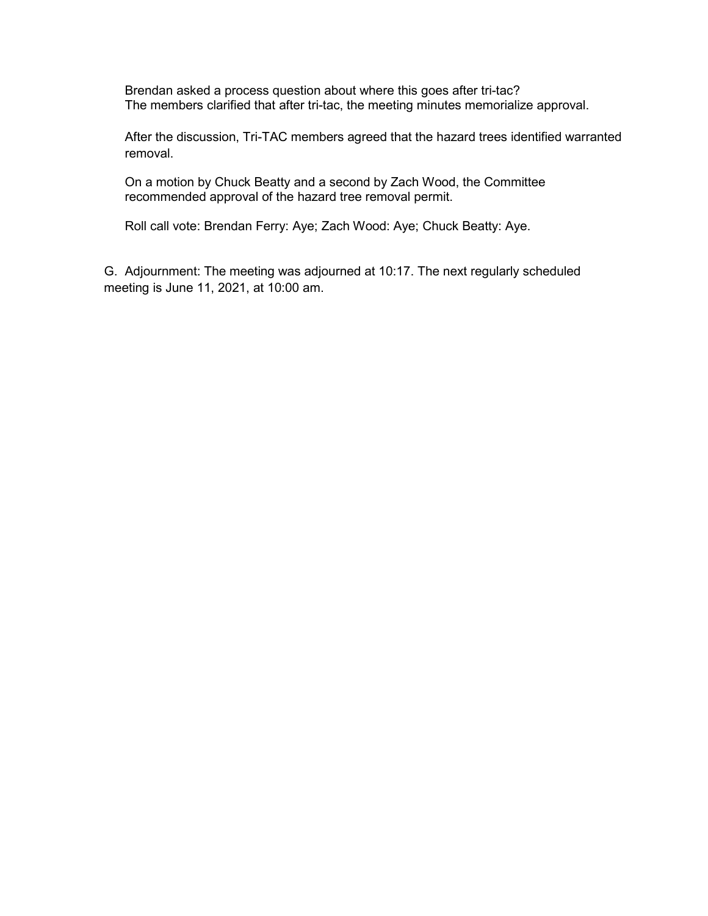Brendan asked a process question about where this goes after tri-tac? The members clarified that after tri-tac, the meeting minutes memorialize approval.

After the discussion, Tri-TAC members agreed that the hazard trees identified warranted removal.

On a motion by Chuck Beatty and a second by Zach Wood, the Committee recommended approval of the hazard tree removal permit.

Roll call vote: Brendan Ferry: Aye; Zach Wood: Aye; Chuck Beatty: Aye.

G. Adjournment: The meeting was adjourned at 10:17. The next regularly scheduled meeting is June 11, 2021, at 10:00 am.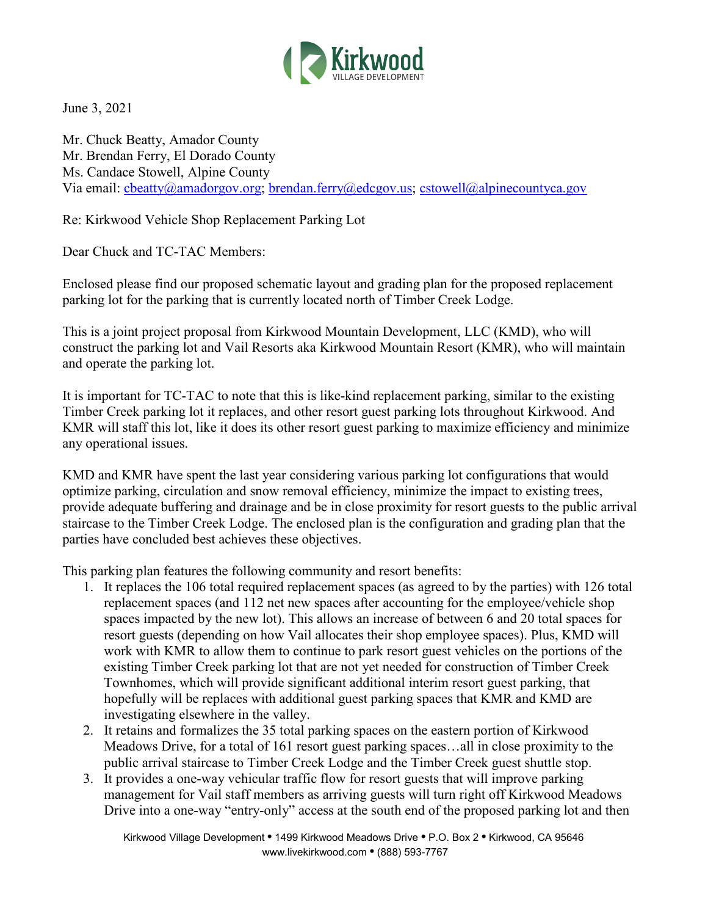

June 3, 2021

Mr. Chuck Beatty, Amador County Mr. Brendan Ferry, El Dorado County Ms. Candace Stowell, Alpine County Via email: cbeatty@amadorgov.org; brendan.ferry@edcgov.us; cstowell@alpinecountyca.gov

Re: Kirkwood Vehicle Shop Replacement Parking Lot

Dear Chuck and TC-TAC Members:

Enclosed please find our proposed schematic layout and grading plan for the proposed replacement parking lot for the parking that is currently located north of Timber Creek Lodge.

This is a joint project proposal from Kirkwood Mountain Development, LLC (KMD), who will construct the parking lot and Vail Resorts aka Kirkwood Mountain Resort (KMR), who will maintain and operate the parking lot.

It is important for TC-TAC to note that this is like-kind replacement parking, similar to the existing Timber Creek parking lot it replaces, and other resort guest parking lots throughout Kirkwood. And KMR will staff this lot, like it does its other resort guest parking to maximize efficiency and minimize any operational issues.

KMD and KMR have spent the last year considering various parking lot configurations that would optimize parking, circulation and snow removal efficiency, minimize the impact to existing trees, provide adequate buffering and drainage and be in close proximity for resort guests to the public arrival staircase to the Timber Creek Lodge. The enclosed plan is the configuration and grading plan that the parties have concluded best achieves these objectives.

This parking plan features the following community and resort benefits:

- 1. It replaces the 106 total required replacement spaces (as agreed to by the parties) with 126 total replacement spaces (and 112 net new spaces after accounting for the employee/vehicle shop spaces impacted by the new lot). This allows an increase of between 6 and 20 total spaces for resort guests (depending on how Vail allocates their shop employee spaces). Plus, KMD will work with KMR to allow them to continue to park resort guest vehicles on the portions of the existing Timber Creek parking lot that are not yet needed for construction of Timber Creek Townhomes, which will provide significant additional interim resort guest parking, that hopefully will be replaces with additional guest parking spaces that KMR and KMD are investigating elsewhere in the valley.
- 2. It retains and formalizes the 35 total parking spaces on the eastern portion of Kirkwood Meadows Drive, for a total of 161 resort guest parking spaces…all in close proximity to the public arrival staircase to Timber Creek Lodge and the Timber Creek guest shuttle stop.
- 3. It provides a one-way vehicular traffic flow for resort guests that will improve parking management for Vail staff members as arriving guests will turn right off Kirkwood Meadows Drive into a one-way "entry-only" access at the south end of the proposed parking lot and then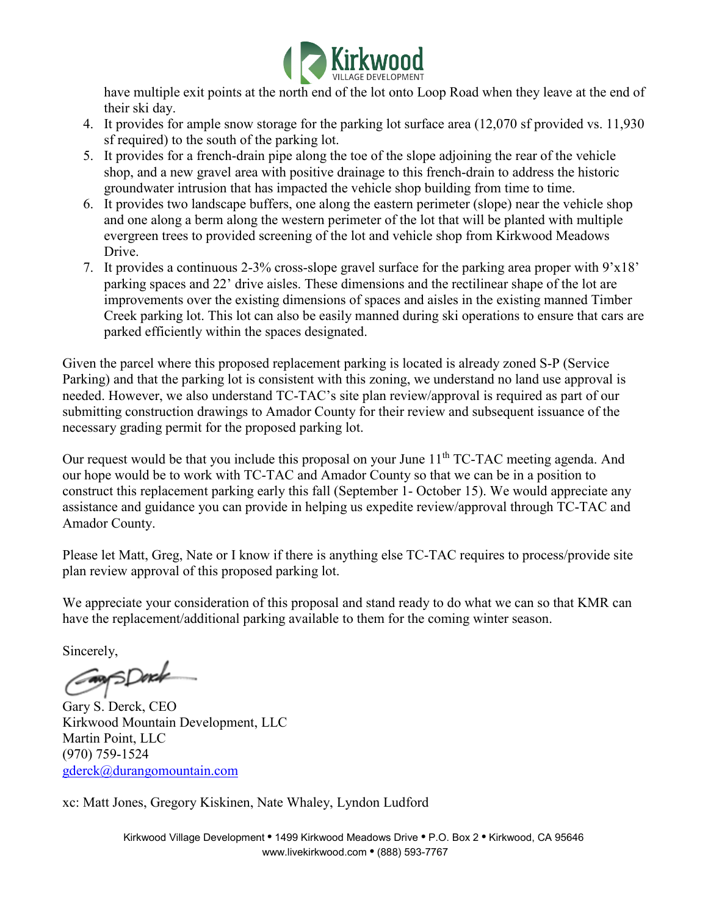

have multiple exit points at the north end of the lot onto Loop Road when they leave at the end of their ski day.

- 4. It provides for ample snow storage for the parking lot surface area (12,070 sf provided vs. 11,930 sf required) to the south of the parking lot.
- 5. It provides for a french-drain pipe along the toe of the slope adjoining the rear of the vehicle shop, and a new gravel area with positive drainage to this french-drain to address the historic groundwater intrusion that has impacted the vehicle shop building from time to time.
- 6. It provides two landscape buffers, one along the eastern perimeter (slope) near the vehicle shop and one along a berm along the western perimeter of the lot that will be planted with multiple evergreen trees to provided screening of the lot and vehicle shop from Kirkwood Meadows Drive.
- 7. It provides a continuous 2-3% cross-slope gravel surface for the parking area proper with 9'x18' parking spaces and 22' drive aisles. These dimensions and the rectilinear shape of the lot are improvements over the existing dimensions of spaces and aisles in the existing manned Timber Creek parking lot. This lot can also be easily manned during ski operations to ensure that cars are parked efficiently within the spaces designated.

Given the parcel where this proposed replacement parking is located is already zoned S-P (Service Parking) and that the parking lot is consistent with this zoning, we understand no land use approval is needed. However, we also understand TC-TAC's site plan review/approval is required as part of our submitting construction drawings to Amador County for their review and subsequent issuance of the necessary grading permit for the proposed parking lot.

Our request would be that you include this proposal on your June  $11<sup>th</sup> TC-TAC$  meeting agenda. And our hope would be to work with TC-TAC and Amador County so that we can be in a position to construct this replacement parking early this fall (September 1- October 15). We would appreciate any assistance and guidance you can provide in helping us expedite review/approval through TC-TAC and Amador County.

Please let Matt, Greg, Nate or I know if there is anything else TC-TAC requires to process/provide site plan review approval of this proposed parking lot.

We appreciate your consideration of this proposal and stand ready to do what we can so that KMR can have the replacement/additional parking available to them for the coming winter season.

Sincerely,

Consport

Gary S. Derck, CEO Kirkwood Mountain Development, LLC Martin Point, LLC (970) 759-1524 gderck@durangomountain.com

xc: Matt Jones, Gregory Kiskinen, Nate Whaley, Lyndon Ludford